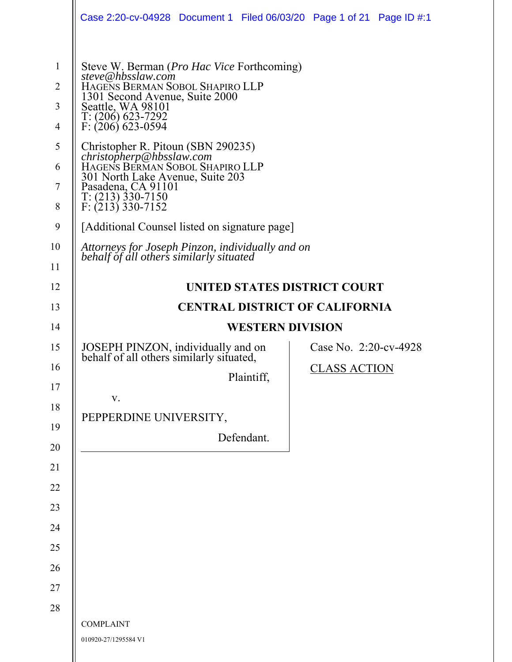|                                                                                                 | Case 2:20-cv-04928 Document 1 Filed 06/03/20 Page 1 of 21 Page ID #:1                                                                                                                                                                                                                                                                                                                                                                                                                                                                                                        |                                              |  |
|-------------------------------------------------------------------------------------------------|------------------------------------------------------------------------------------------------------------------------------------------------------------------------------------------------------------------------------------------------------------------------------------------------------------------------------------------------------------------------------------------------------------------------------------------------------------------------------------------------------------------------------------------------------------------------------|----------------------------------------------|--|
| $\mathbf{1}$<br>$\overline{2}$<br>3<br>$\overline{4}$<br>5<br>6<br>$\tau$<br>8<br>9<br>10<br>11 | Steve W. Berman ( <i>Pro Hac Vice</i> Forthcoming)<br>steve@hbsslaw.com<br>HAGENS BERMAN SOBOL SHAPIRO LLP<br>1301 Second Avenue, Suite 2000<br>Seattle, WA 98101<br>$T: (206)$ 623-7292<br>$F: (206)$ 623-0594<br>Christopher R. Pitoun (SBN 290235)<br>christopherp@hbsslaw.com<br>HAGENS BERMAN SOBOL SHAPIRO LLP<br>301 North Lake Avenue, Suite 203<br>Pasadena, CA 91101<br>$T: (213)$ 330-7150<br>$F: (213)$ 330-7152<br>[Additional Counsel listed on signature page]<br>Attorneys for Joseph Pinzon, individually and on<br>behalf of all others similarly situated |                                              |  |
| 12                                                                                              | UNITED STATES DISTRICT COURT                                                                                                                                                                                                                                                                                                                                                                                                                                                                                                                                                 |                                              |  |
| 13                                                                                              | <b>CENTRAL DISTRICT OF CALIFORNIA</b>                                                                                                                                                                                                                                                                                                                                                                                                                                                                                                                                        |                                              |  |
| 14                                                                                              | <b>WESTERN DIVISION</b>                                                                                                                                                                                                                                                                                                                                                                                                                                                                                                                                                      |                                              |  |
| 15<br>16<br>17<br>18<br>19<br>20<br>21<br>22<br>23<br>24<br>25<br>26<br>27                      | JOSEPH PINZON, individually and on<br>behalf of all others similarly situated,<br>Plaintiff,<br>V.<br>PEPPERDINE UNIVERSITY,<br>Defendant.                                                                                                                                                                                                                                                                                                                                                                                                                                   | Case No. 2:20-cv-4928<br><b>CLASS ACTION</b> |  |
| 28                                                                                              |                                                                                                                                                                                                                                                                                                                                                                                                                                                                                                                                                                              |                                              |  |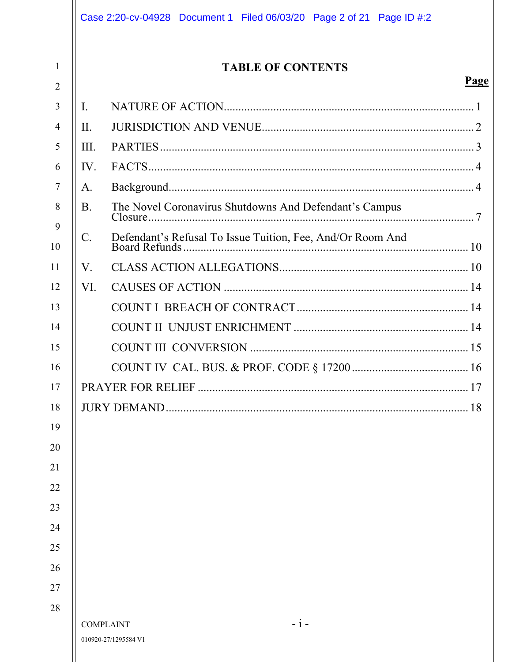|                     |           | Case 2:20-cv-04928 Document 1 Filed 06/03/20 Page 2 of 21 Page ID #:2 |      |
|---------------------|-----------|-----------------------------------------------------------------------|------|
| 1<br>$\overline{2}$ |           | <b>TABLE OF CONTENTS</b>                                              | Page |
| 3                   | I.        |                                                                       |      |
| $\overline{4}$      | II.       |                                                                       |      |
| 5                   | III.      |                                                                       |      |
| 6                   | IV.       |                                                                       |      |
| 7                   | A.        |                                                                       |      |
| 8                   | <b>B.</b> | The Novel Coronavirus Shutdowns And Defendant's Campus                |      |
| 9<br>10             | C.        | Defendant's Refusal To Issue Tuition, Fee, And/Or Room And            |      |
| 11                  | V.        |                                                                       |      |
| 12                  | VI.       |                                                                       |      |
| 13                  |           |                                                                       |      |
| 14                  |           |                                                                       |      |
| 15                  |           |                                                                       |      |
| 16                  |           |                                                                       |      |
| 17                  |           |                                                                       |      |
| 18                  |           |                                                                       | .18  |
| 19                  |           |                                                                       |      |
| 20                  |           |                                                                       |      |
| 21                  |           |                                                                       |      |
| 22                  |           |                                                                       |      |
| 23                  |           |                                                                       |      |
| 24                  |           |                                                                       |      |
| 25                  |           |                                                                       |      |
| 26                  |           |                                                                       |      |
| 27                  |           |                                                                       |      |
| 28                  |           |                                                                       |      |
|                     |           | $- i -$<br><b>COMPLAINT</b><br>010920-27/1295584 V1                   |      |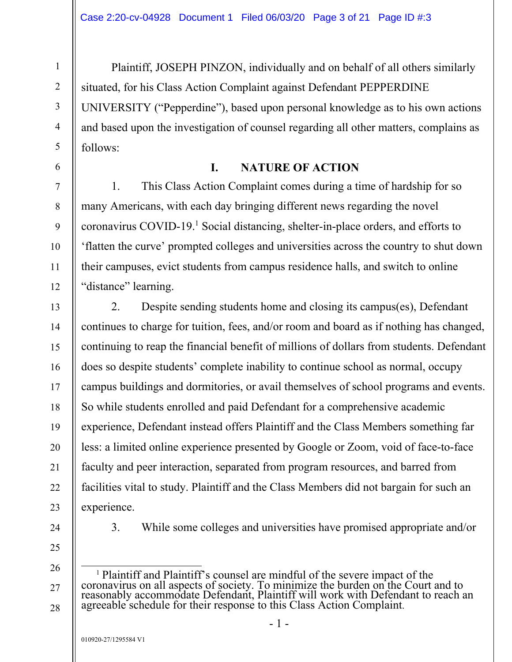Plaintiff, JOSEPH PINZON, individually and on behalf of all others similarly situated, for his Class Action Complaint against Defendant PEPPERDINE UNIVERSITY ("Pepperdine"), based upon personal knowledge as to his own actions and based upon the investigation of counsel regarding all other matters, complains as follows:

### **I. NATURE OF ACTION**

1. This Class Action Complaint comes during a time of hardship for so many Americans, with each day bringing different news regarding the novel coronavirus COVID-19.<sup>1</sup> Social distancing, shelter-in-place orders, and efforts to 'flatten the curve' prompted colleges and universities across the country to shut down their campuses, evict students from campus residence halls, and switch to online "distance" learning.

2. Despite sending students home and closing its campus(es), Defendant continues to charge for tuition, fees, and/or room and board as if nothing has changed, continuing to reap the financial benefit of millions of dollars from students. Defendant does so despite students' complete inability to continue school as normal, occupy campus buildings and dormitories, or avail themselves of school programs and events. So while students enrolled and paid Defendant for a comprehensive academic experience, Defendant instead offers Plaintiff and the Class Members something far less: a limited online experience presented by Google or Zoom, void of face-to-face faculty and peer interaction, separated from program resources, and barred from facilities vital to study. Plaintiff and the Class Members did not bargain for such an experience.

24

1

2

3

4

5

6

7

8

9

10

11

12

13

14

15

16

17

18

19

20

21

22

23

3. While some colleges and universities have promised appropriate and/or

25

26

27

<sup>&</sup>lt;sup>1</sup> Plaintiff and Plaintiff's counsel are mindful of the severe impact of the coronavirus on all aspects of society. To minimize the burden on the Court and to reasonably accommodate Defendant, Plaintiff will work with Defendant to reach an agreeable schedule for their response to this Class Action Complaint.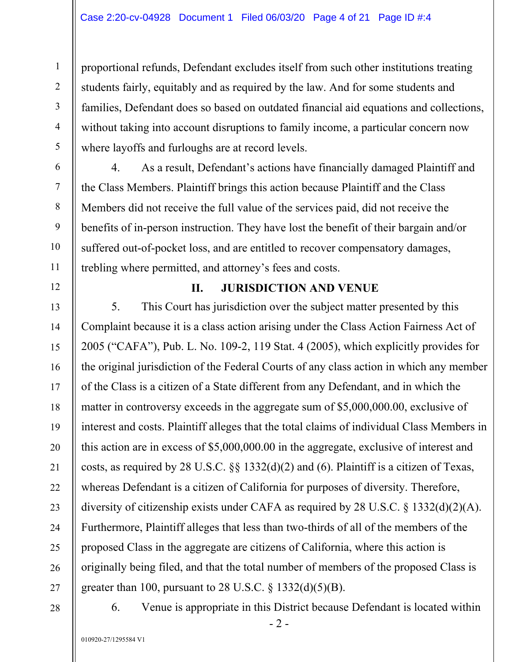proportional refunds, Defendant excludes itself from such other institutions treating students fairly, equitably and as required by the law. And for some students and families, Defendant does so based on outdated financial aid equations and collections, without taking into account disruptions to family income, a particular concern now where layoffs and furloughs are at record levels.

4. As a result, Defendant's actions have financially damaged Plaintiff and the Class Members. Plaintiff brings this action because Plaintiff and the Class Members did not receive the full value of the services paid, did not receive the benefits of in-person instruction. They have lost the benefit of their bargain and/or suffered out-of-pocket loss, and are entitled to recover compensatory damages, trebling where permitted, and attorney's fees and costs.

### **II. JURISDICTION AND VENUE**

5. This Court has jurisdiction over the subject matter presented by this Complaint because it is a class action arising under the Class Action Fairness Act of 2005 ("CAFA"), Pub. L. No. 109-2, 119 Stat. 4 (2005), which explicitly provides for the original jurisdiction of the Federal Courts of any class action in which any member of the Class is a citizen of a State different from any Defendant, and in which the matter in controversy exceeds in the aggregate sum of \$5,000,000.00, exclusive of interest and costs. Plaintiff alleges that the total claims of individual Class Members in this action are in excess of \$5,000,000.00 in the aggregate, exclusive of interest and costs, as required by 28 U.S.C. §§ 1332(d)(2) and (6). Plaintiff is a citizen of Texas, whereas Defendant is a citizen of California for purposes of diversity. Therefore, diversity of citizenship exists under CAFA as required by 28 U.S.C. § 1332(d)(2)(A). Furthermore, Plaintiff alleges that less than two-thirds of all of the members of the proposed Class in the aggregate are citizens of California, where this action is originally being filed, and that the total number of members of the proposed Class is greater than 100, pursuant to 28 U.S.C.  $\S$  1332(d)(5)(B).

28

1

2

3

4

5

6

7

8

9

10

11

12

13

14

15

16

17

18

19

20

21

22

23

24

25

26

27

6. Venue is appropriate in this District because Defendant is located within

- 2 -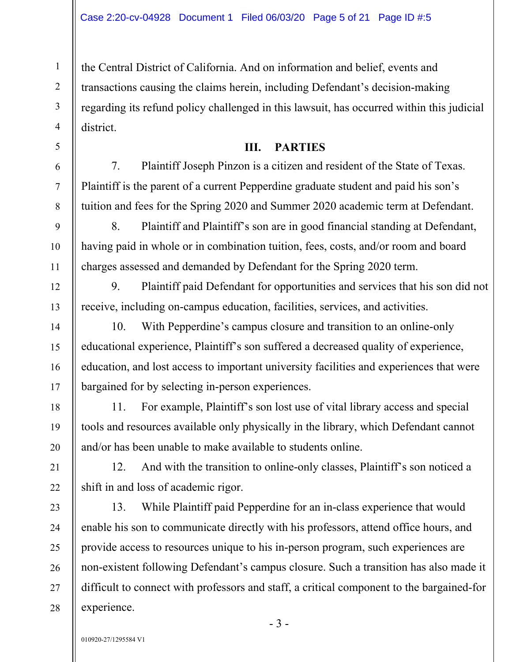the Central District of California. And on information and belief, events and transactions causing the claims herein, including Defendant's decision-making regarding its refund policy challenged in this lawsuit, has occurred within this judicial district.

#### **III. PARTIES**

7. Plaintiff Joseph Pinzon is a citizen and resident of the State of Texas. Plaintiff is the parent of a current Pepperdine graduate student and paid his son's tuition and fees for the Spring 2020 and Summer 2020 academic term at Defendant.

8. Plaintiff and Plaintiff's son are in good financial standing at Defendant, having paid in whole or in combination tuition, fees, costs, and/or room and board charges assessed and demanded by Defendant for the Spring 2020 term.

9. Plaintiff paid Defendant for opportunities and services that his son did not receive, including on-campus education, facilities, services, and activities.

10. With Pepperdine's campus closure and transition to an online-only educational experience, Plaintiff's son suffered a decreased quality of experience, education, and lost access to important university facilities and experiences that were bargained for by selecting in-person experiences.

11. For example, Plaintiff's son lost use of vital library access and special tools and resources available only physically in the library, which Defendant cannot and/or has been unable to make available to students online.

12. And with the transition to online-only classes, Plaintiff's son noticed a shift in and loss of academic rigor.

13. While Plaintiff paid Pepperdine for an in-class experience that would enable his son to communicate directly with his professors, attend office hours, and provide access to resources unique to his in-person program, such experiences are non-existent following Defendant's campus closure. Such a transition has also made it difficult to connect with professors and staff, a critical component to the bargained-for experience.

1

2

3

4

5

6

7

8

9

10

11

12

13

14

15

16

17

18

19

20

21

22

23

24

25

26

27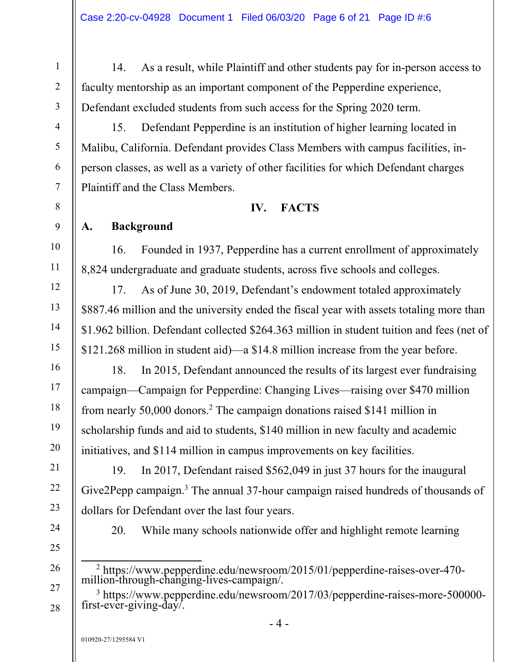14. As a result, while Plaintiff and other students pay for in-person access to faculty mentorship as an important component of the Pepperdine experience, Defendant excluded students from such access for the Spring 2020 term.

15. Defendant Pepperdine is an institution of higher learning located in Malibu, California. Defendant provides Class Members with campus facilities, inperson classes, as well as a variety of other facilities for which Defendant charges Plaintiff and the Class Members.

### **IV. FACTS**

## **A. Background**

16. Founded in 1937, Pepperdine has a current enrollment of approximately 8,824 undergraduate and graduate students, across five schools and colleges.

17. As of June 30, 2019, Defendant's endowment totaled approximately \$887.46 million and the university ended the fiscal year with assets totaling more than \$1.962 billion. Defendant collected \$264.363 million in student tuition and fees (net of \$121.268 million in student aid)—a \$14.8 million increase from the year before.

18. In 2015, Defendant announced the results of its largest ever fundraising campaign—Campaign for Pepperdine: Changing Lives—raising over \$470 million from nearly 50,000 donors.<sup>2</sup> The campaign donations raised \$141 million in scholarship funds and aid to students, \$140 million in new faculty and academic initiatives, and \$114 million in campus improvements on key facilities.

19. In 2017, Defendant raised \$562,049 in just 37 hours for the inaugural Give2Pepp campaign. $3$  The annual 37-hour campaign raised hundreds of thousands of dollars for Defendant over the last four years.

24

1

2

3

4

5

6

7

8

9

10

11

12

13

14

15

16

17

18

19

20

21

22

23

25

26

27

20. While many schools nationwide offer and highlight remote learning

- 2 https://www.pepperdine.edu/newsroom/2015/01/pepperdine-raises-over-470 million-through-changing-lives-campaign/.
- <sup>3</sup> https://www.pepperdine.edu/newsroom/2017/03/pepperdine-raises-more-500000first-ever-giving-day/.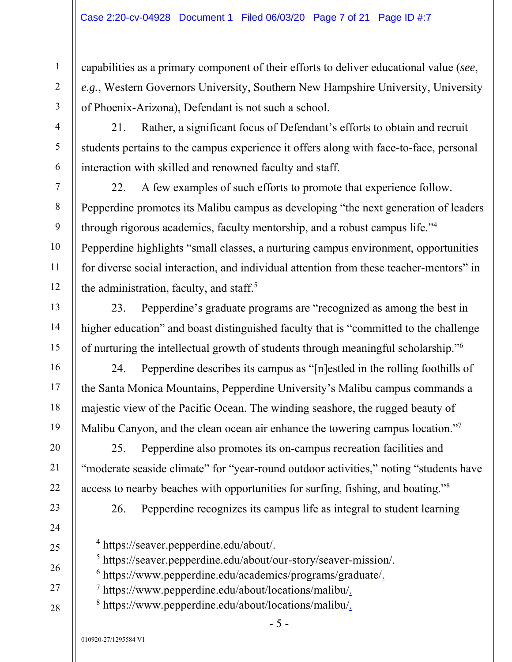capabilities as a primary component of their efforts to deliver educational value (*see*, *e.g.*, Western Governors University, Southern New Hampshire University, University of Phoenix-Arizona), Defendant is not such a school.

21. Rather, a significant focus of Defendant's efforts to obtain and recruit students pertains to the campus experience it offers along with face-to-face, personal interaction with skilled and renowned faculty and staff.

22. A few examples of such efforts to promote that experience follow. Pepperdine promotes its Malibu campus as developing "the next generation of leaders through rigorous academics, faculty mentorship, and a robust campus life."4 Pepperdine highlights "small classes, a nurturing campus environment, opportunities for diverse social interaction, and individual attention from these teacher-mentors" in the administration, faculty, and staff.<sup>5</sup>

23. Pepperdine's graduate programs are "recognized as among the best in higher education" and boast distinguished faculty that is "committed to the challenge of nurturing the intellectual growth of students through meaningful scholarship."6

24. Pepperdine describes its campus as "[n]estled in the rolling foothills of the Santa Monica Mountains, Pepperdine University's Malibu campus commands a majestic view of the Pacific Ocean. The winding seashore, the rugged beauty of Malibu Canyon, and the clean ocean air enhance the towering campus location."7

25. Pepperdine also promotes its on-campus recreation facilities and "moderate seaside climate" for "year-round outdoor activities," noting "students have access to nearby beaches with opportunities for surfing, fishing, and boating."8

26. Pepperdine recognizes its campus life as integral to student learning

- <sup>7</sup> https://www.pepperdine.edu/about/locations/malibu/
- 8 https://www.pepperdine.edu/about/locations/malibu/.

 <sup>4</sup> https://seaver.pepperdine.edu/about/.

<sup>5</sup> https://seaver.pepperdine.edu/about/our-story/seaver-mission/.

<sup>&</sup>lt;sup>6</sup> https://www.pepperdine.edu/academics/programs/graduate/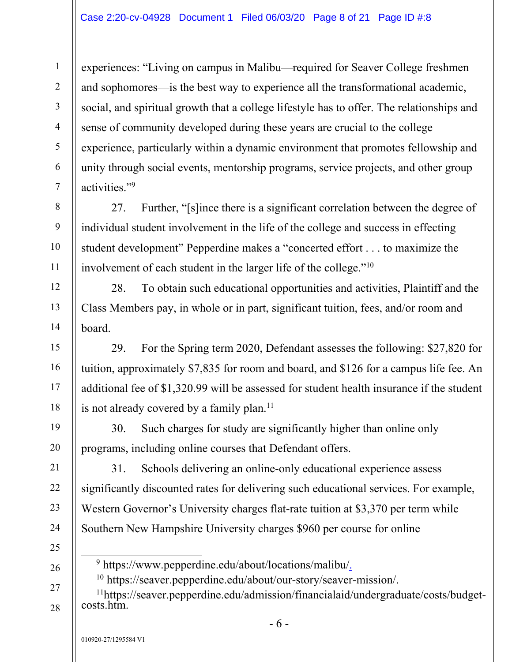experiences: "Living on campus in Malibu—required for Seaver College freshmen and sophomores—is the best way to experience all the transformational academic, social, and spiritual growth that a college lifestyle has to offer. The relationships and sense of community developed during these years are crucial to the college experience, particularly within a dynamic environment that promotes fellowship and unity through social events, mentorship programs, service projects, and other group activities."9

27. Further, "[s]ince there is a significant correlation between the degree of individual student involvement in the life of the college and success in effecting student development" Pepperdine makes a "concerted effort . . . to maximize the involvement of each student in the larger life of the college."10

28. To obtain such educational opportunities and activities, Plaintiff and the Class Members pay, in whole or in part, significant tuition, fees, and/or room and board.

29. For the Spring term 2020, Defendant assesses the following: \$27,820 for tuition, approximately \$7,835 for room and board, and \$126 for a campus life fee. An additional fee of \$1,320.99 will be assessed for student health insurance if the student is not already covered by a family plan. $11$ 

30. Such charges for study are significantly higher than online only programs, including online courses that Defendant offers.

31. Schools delivering an online-only educational experience assess significantly discounted rates for delivering such educational services. For example, Western Governor's University charges flat-rate tuition at \$3,370 per term while Southern New Hampshire University charges \$960 per course for online

9 https://www.pepperdine.edu/about/locations/malibu/.

10 https://seaver.pepperdine.edu/about/our-story/seaver-mission/.

11https://seaver.pepperdine.edu/admission/financialaid/undergraduate/costs/budget- costs.htm.

27 28

1

2

3

4

5

6

7

8

9

10

11

12

13

14

15

16

17

18

19

20

21

22

23

24

25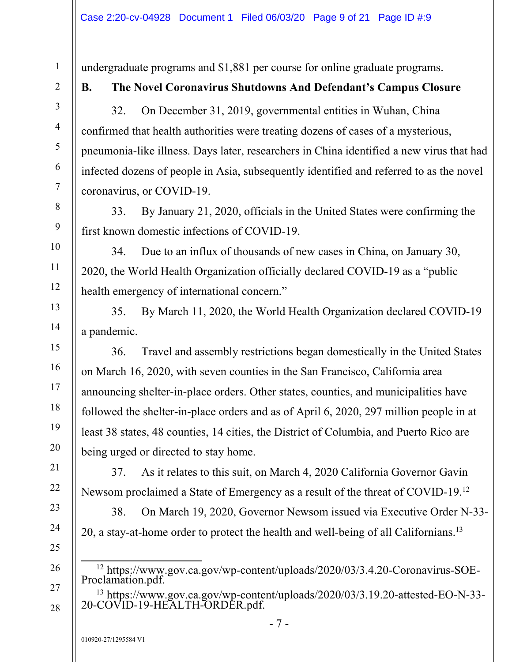undergraduate programs and \$1,881 per course for online graduate programs.

1

2

3

4

5

6

7

8

9

10

11

12

13

14

15

16

17

18

19

20

21

22

23

24

25

26

27

28

## **B. The Novel Coronavirus Shutdowns And Defendant's Campus Closure**

32. On December 31, 2019, governmental entities in Wuhan, China confirmed that health authorities were treating dozens of cases of a mysterious, pneumonia-like illness. Days later, researchers in China identified a new virus that had infected dozens of people in Asia, subsequently identified and referred to as the novel coronavirus, or COVID-19.

33. By January 21, 2020, officials in the United States were confirming the first known domestic infections of COVID-19.

34. Due to an influx of thousands of new cases in China, on January 30, 2020, the World Health Organization officially declared COVID-19 as a "public health emergency of international concern."

35. By March 11, 2020, the World Health Organization declared COVID-19 a pandemic.

36. Travel and assembly restrictions began domestically in the United States on March 16, 2020, with seven counties in the San Francisco, California area announcing shelter-in-place orders. Other states, counties, and municipalities have followed the shelter-in-place orders and as of April 6, 2020, 297 million people in at least 38 states, 48 counties, 14 cities, the District of Columbia, and Puerto Rico are being urged or directed to stay home.

37. As it relates to this suit, on March 4, 2020 California Governor Gavin Newsom proclaimed a State of Emergency as a result of the threat of COVID-19.12

38. On March 19, 2020, Governor Newsom issued via Executive Order N-33- 20, a stay-at-home order to protect the health and well-being of all Californians.13

 12 https://www.gov.ca.gov/wp-content/uploads/2020/03/3.4.20-Coronavirus-SOE-Proclamation.pdf.

13 https://www.gov.ca.gov/wp-content/uploads/2020/03/3.19.20-attested-EO-N-33- 20-COVID-19-HEALTH-ORDER.pdf.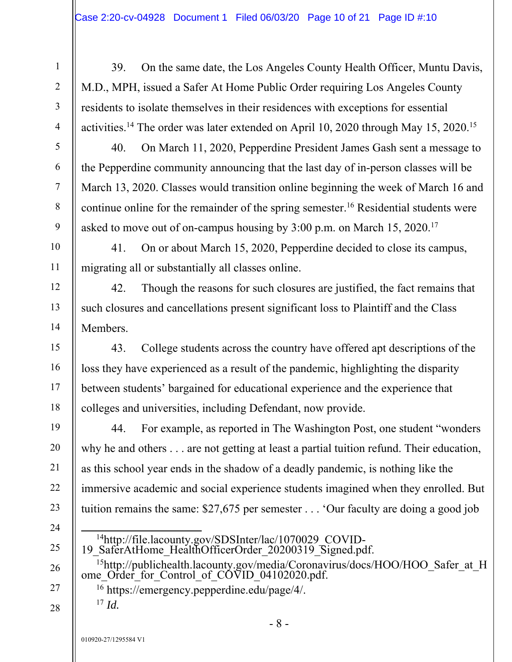39. On the same date, the Los Angeles County Health Officer, Muntu Davis, M.D., MPH, issued a Safer At Home Public Order requiring Los Angeles County residents to isolate themselves in their residences with exceptions for essential activities.14 The order was later extended on April 10, 2020 through May 15, 2020.15

40. On March 11, 2020, Pepperdine President James Gash sent a message to the Pepperdine community announcing that the last day of in-person classes will be March 13, 2020. Classes would transition online beginning the week of March 16 and continue online for the remainder of the spring semester.<sup>16</sup> Residential students were asked to move out of on-campus housing by 3:00 p.m. on March 15, 2020.<sup>17</sup>

41. On or about March 15, 2020, Pepperdine decided to close its campus, migrating all or substantially all classes online.

42. Though the reasons for such closures are justified, the fact remains that such closures and cancellations present significant loss to Plaintiff and the Class Members.

43. College students across the country have offered apt descriptions of the loss they have experienced as a result of the pandemic, highlighting the disparity between students' bargained for educational experience and the experience that colleges and universities, including Defendant, now provide.

44. For example, as reported in The Washington Post, one student "wonders why he and others . . . are not getting at least a partial tuition refund. Their education, as this school year ends in the shadow of a deadly pandemic, is nothing like the immersive academic and social experience students imagined when they enrolled. But tuition remains the same: \$27,675 per semester . . . 'Our faculty are doing a good job

- 
- 

<sup>14</sup>http://file.lacounty.gov/SDSInter/lac/1070029\_COVID-<br>19\_SaferAtHome\_HealthOfficerOrder\_20200319\_Signed.pdf. <sup>15</sup>http://publichealth.lacounty.gov/media/Coronavirus/docs/HOO/HOO\_Safer\_at\_H ome\_Order\_for\_Control\_of\_COVID\_04102020.pdf. 16 https://emergency.pepperdine.edu/page/4/. <sup>17</sup> *Id.*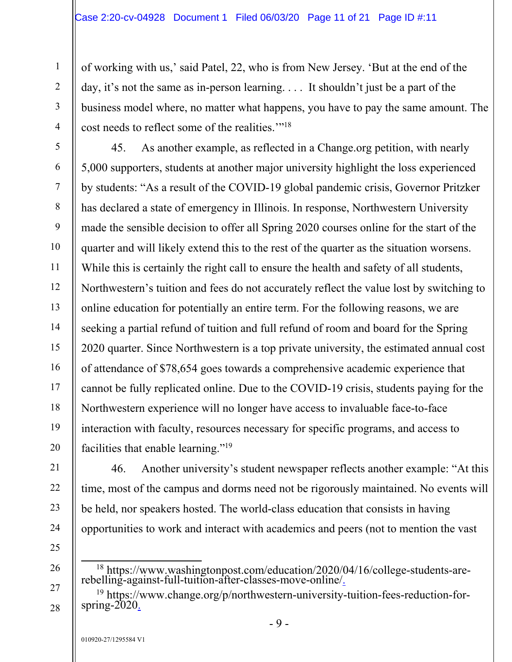of working with us,' said Patel, 22, who is from New Jersey. 'But at the end of the day, it's not the same as in-person learning. . . . It shouldn't just be a part of the business model where, no matter what happens, you have to pay the same amount. The cost needs to reflect some of the realities.'"18

45. As another example, as reflected in a Change.org petition, with nearly 5,000 supporters, students at another major university highlight the loss experienced by students: "As a result of the COVID-19 global pandemic crisis, Governor Pritzker has declared a state of emergency in Illinois. In response, Northwestern University made the sensible decision to offer all Spring 2020 courses online for the start of the quarter and will likely extend this to the rest of the quarter as the situation worsens. While this is certainly the right call to ensure the health and safety of all students, Northwestern's tuition and fees do not accurately reflect the value lost by switching to online education for potentially an entire term. For the following reasons, we are seeking a partial refund of tuition and full refund of room and board for the Spring 2020 quarter. Since Northwestern is a top private university, the estimated annual cost of attendance of \$78,654 goes towards a comprehensive academic experience that cannot be fully replicated online. Due to the COVID-19 crisis, students paying for the Northwestern experience will no longer have access to invaluable face-to-face interaction with faculty, resources necessary for specific programs, and access to facilities that enable learning."19

46. Another university's student newspaper reflects another example: "At this time, most of the campus and dorms need not be rigorously maintained. No events will be held, nor speakers hosted. The world-class education that consists in having opportunities to work and interact with academics and peers (not to mention the vast

25 26

1

2

3

4

5

6

7

8

9

10

11

12

13

14

15

16

17

18

19

20

21

22

23

24

27

 <sup>18</sup> https://www.washingtonpost.com/education/2020/04/16/college-students-arerebelling-against-full-tuition-after-classes-move-online/.

<sup>&</sup>lt;sup>19</sup> https://www.change.org/p/northwestern-university-tuition-fees-reduction-forspring-2020.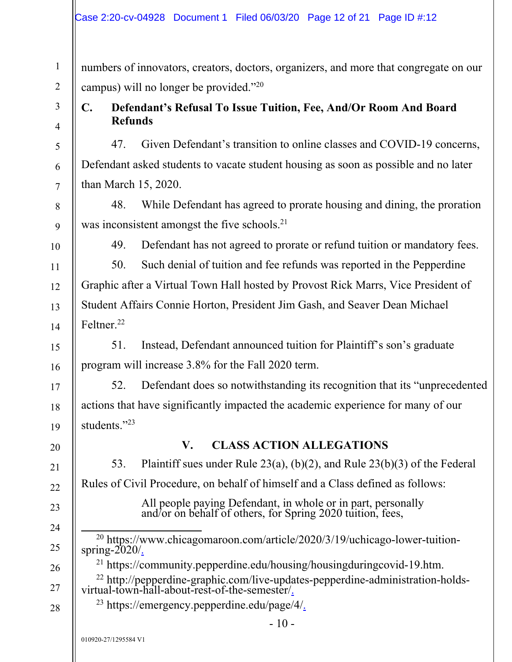| Case 2:20-cv-04928 Document 1 Filed 06/03/20 Page 12 of 21 Page ID #:12 |  |  |
|-------------------------------------------------------------------------|--|--|
|                                                                         |  |  |

numbers of innovators, creators, doctors, organizers, and more that congregate on our campus) will no longer be provided."20

## 3 4

1

2

5

6

7

8

## **C. Defendant's Refusal To Issue Tuition, Fee, And/Or Room And Board Refunds**

47. Given Defendant's transition to online classes and COVID-19 concerns, Defendant asked students to vacate student housing as soon as possible and no later than March 15, 2020.

48. While Defendant has agreed to prorate housing and dining, the proration was inconsistent amongst the five schools.<sup>21</sup>

9 10

11

12

13

14

15

16

17

18

19

20

21

22

23

24

25

26

28

49. Defendant has not agreed to prorate or refund tuition or mandatory fees.

50. Such denial of tuition and fee refunds was reported in the Pepperdine Graphic after a Virtual Town Hall hosted by Provost Rick Marrs, Vice President of Student Affairs Connie Horton, President Jim Gash, and Seaver Dean Michael Feltner<sup>22</sup>

51. Instead, Defendant announced tuition for Plaintiff's son's graduate program will increase 3.8% for the Fall 2020 term.

52. Defendant does so notwithstanding its recognition that its "unprecedented actions that have significantly impacted the academic experience for many of our students."23

### **V. CLASS ACTION ALLEGATIONS**

53. Plaintiff sues under Rule 23(a), (b)(2), and Rule 23(b)(3) of the Federal Rules of Civil Procedure, on behalf of himself and a Class defined as follows:

All people paying Defendant, in whole or in part, personally and/or on behalf of others, for Spring 2020 tuition, fees,

<sup>20</sup> https://www.chicagomaroon.com/article/2020/3/19/uchicago-lower-tuitionspring-2020/.

21 https://community.pepperdine.edu/housing/housingduringcovid-19.htm.

27  $22$  http://pepperdine-graphic.com/live-updates-pepperdine-administration-holdsvirtual-town-hall-about-rest-of-the-semester/.

23 https://emergency.pepperdine.edu/page/4/.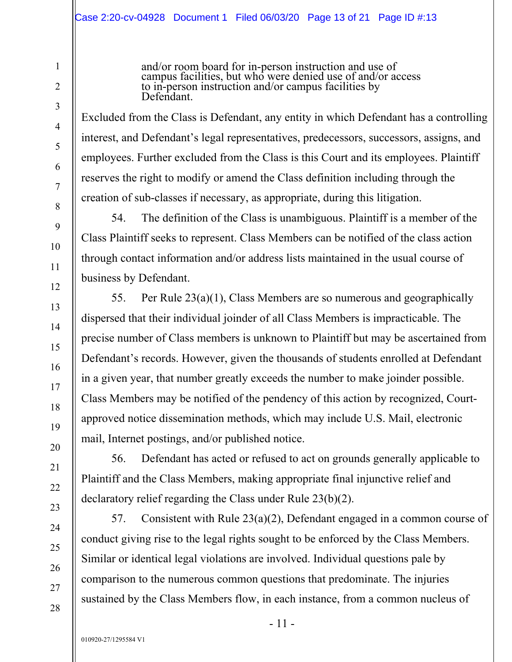and/or room board for in-person instruction and use of campus facilities, but who were denied use of and/or access to in-person instruction and/or campus facilities by Defendant.

Excluded from the Class is Defendant, any entity in which Defendant has a controlling interest, and Defendant's legal representatives, predecessors, successors, assigns, and employees. Further excluded from the Class is this Court and its employees. Plaintiff reserves the right to modify or amend the Class definition including through the creation of sub-classes if necessary, as appropriate, during this litigation.

54. The definition of the Class is unambiguous. Plaintiff is a member of the Class Plaintiff seeks to represent. Class Members can be notified of the class action through contact information and/or address lists maintained in the usual course of business by Defendant.

55. Per Rule 23(a)(1), Class Members are so numerous and geographically dispersed that their individual joinder of all Class Members is impracticable. The precise number of Class members is unknown to Plaintiff but may be ascertained from Defendant's records. However, given the thousands of students enrolled at Defendant in a given year, that number greatly exceeds the number to make joinder possible. Class Members may be notified of the pendency of this action by recognized, Courtapproved notice dissemination methods, which may include U.S. Mail, electronic mail, Internet postings, and/or published notice.

56. Defendant has acted or refused to act on grounds generally applicable to Plaintiff and the Class Members, making appropriate final injunctive relief and declaratory relief regarding the Class under Rule 23(b)(2).

57. Consistent with Rule 23(a)(2), Defendant engaged in a common course of conduct giving rise to the legal rights sought to be enforced by the Class Members. Similar or identical legal violations are involved. Individual questions pale by comparison to the numerous common questions that predominate. The injuries sustained by the Class Members flow, in each instance, from a common nucleus of

1

2

3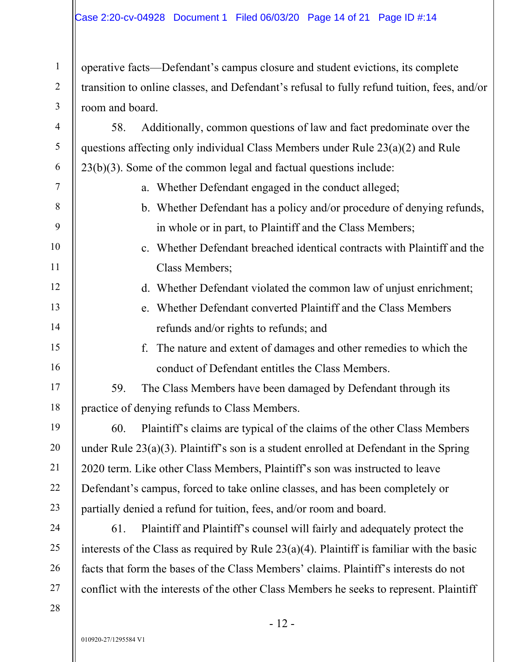operative facts—Defendant's campus closure and student evictions, its complete transition to online classes, and Defendant's refusal to fully refund tuition, fees, and/or room and board.

58. Additionally, common questions of law and fact predominate over the questions affecting only individual Class Members under Rule 23(a)(2) and Rule 23(b)(3). Some of the common legal and factual questions include:

- a. Whether Defendant engaged in the conduct alleged;
- b. Whether Defendant has a policy and/or procedure of denying refunds, in whole or in part, to Plaintiff and the Class Members;
- c. Whether Defendant breached identical contracts with Plaintiff and the Class Members;
- d. Whether Defendant violated the common law of unjust enrichment;
- e. Whether Defendant converted Plaintiff and the Class Members refunds and/or rights to refunds; and
- f. The nature and extent of damages and other remedies to which the conduct of Defendant entitles the Class Members.

59. The Class Members have been damaged by Defendant through its practice of denying refunds to Class Members.

60. Plaintiff's claims are typical of the claims of the other Class Members under Rule 23(a)(3). Plaintiff's son is a student enrolled at Defendant in the Spring 2020 term. Like other Class Members, Plaintiff's son was instructed to leave Defendant's campus, forced to take online classes, and has been completely or partially denied a refund for tuition, fees, and/or room and board.

28

1

2

3

4

5

6

7

8

9

10

11

12

13

14

15

16

17

18

19

20

21

22

61. Plaintiff and Plaintiff's counsel will fairly and adequately protect the interests of the Class as required by Rule 23(a)(4). Plaintiff is familiar with the basic facts that form the bases of the Class Members' claims. Plaintiff's interests do not conflict with the interests of the other Class Members he seeks to represent. Plaintiff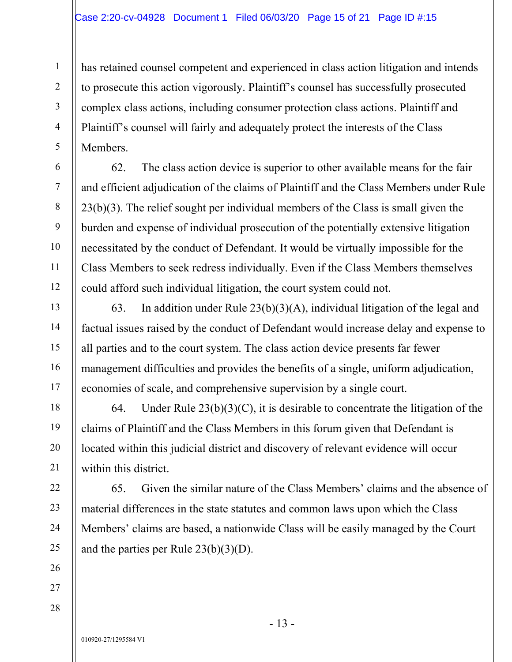has retained counsel competent and experienced in class action litigation and intends to prosecute this action vigorously. Plaintiff's counsel has successfully prosecuted complex class actions, including consumer protection class actions. Plaintiff and Plaintiff's counsel will fairly and adequately protect the interests of the Class Members.

62. The class action device is superior to other available means for the fair and efficient adjudication of the claims of Plaintiff and the Class Members under Rule 23(b)(3). The relief sought per individual members of the Class is small given the burden and expense of individual prosecution of the potentially extensive litigation necessitated by the conduct of Defendant. It would be virtually impossible for the Class Members to seek redress individually. Even if the Class Members themselves could afford such individual litigation, the court system could not.

63. In addition under Rule 23(b)(3)(A), individual litigation of the legal and factual issues raised by the conduct of Defendant would increase delay and expense to all parties and to the court system. The class action device presents far fewer management difficulties and provides the benefits of a single, uniform adjudication, economies of scale, and comprehensive supervision by a single court.

64. Under Rule  $23(b)(3)(C)$ , it is desirable to concentrate the litigation of the claims of Plaintiff and the Class Members in this forum given that Defendant is located within this judicial district and discovery of relevant evidence will occur within this district.

65. Given the similar nature of the Class Members' claims and the absence of material differences in the state statutes and common laws upon which the Class Members' claims are based, a nationwide Class will be easily managed by the Court and the parties per Rule  $23(b)(3)(D)$ .

26 27

1

2

3

4

5

6

7

8

9

10

11

12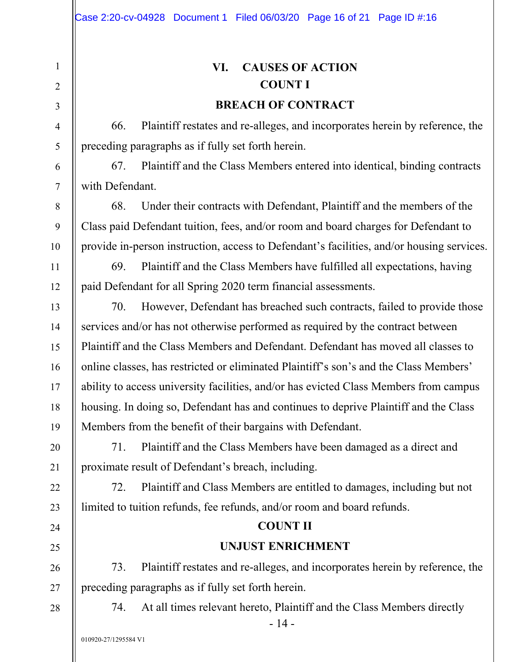# **VI. CAUSES OF ACTION COUNT I BREACH OF CONTRACT**

66. Plaintiff restates and re-alleges, and incorporates herein by reference, the preceding paragraphs as if fully set forth herein.

67. Plaintiff and the Class Members entered into identical, binding contracts with Defendant.

68. Under their contracts with Defendant, Plaintiff and the members of the Class paid Defendant tuition, fees, and/or room and board charges for Defendant to provide in-person instruction, access to Defendant's facilities, and/or housing services.

69. Plaintiff and the Class Members have fulfilled all expectations, having paid Defendant for all Spring 2020 term financial assessments.

70. However, Defendant has breached such contracts, failed to provide those services and/or has not otherwise performed as required by the contract between Plaintiff and the Class Members and Defendant. Defendant has moved all classes to online classes, has restricted or eliminated Plaintiff's son's and the Class Members' ability to access university facilities, and/or has evicted Class Members from campus housing. In doing so, Defendant has and continues to deprive Plaintiff and the Class Members from the benefit of their bargains with Defendant.

71. Plaintiff and the Class Members have been damaged as a direct and proximate result of Defendant's breach, including.

72. Plaintiff and Class Members are entitled to damages, including but not limited to tuition refunds, fee refunds, and/or room and board refunds.

## **COUNT II**

## **UNJUST ENRICHMENT**

73. Plaintiff restates and re-alleges, and incorporates herein by reference, the preceding paragraphs as if fully set forth herein.

74. At all times relevant hereto, Plaintiff and the Class Members directly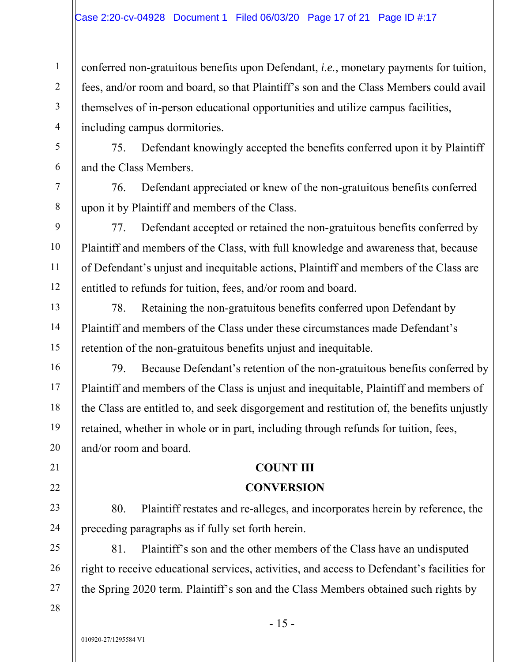conferred non-gratuitous benefits upon Defendant, *i.e.*, monetary payments for tuition, fees, and/or room and board, so that Plaintiff's son and the Class Members could avail themselves of in-person educational opportunities and utilize campus facilities, including campus dormitories.

75. Defendant knowingly accepted the benefits conferred upon it by Plaintiff and the Class Members.

76. Defendant appreciated or knew of the non-gratuitous benefits conferred upon it by Plaintiff and members of the Class.

77. Defendant accepted or retained the non-gratuitous benefits conferred by Plaintiff and members of the Class, with full knowledge and awareness that, because of Defendant's unjust and inequitable actions, Plaintiff and members of the Class are entitled to refunds for tuition, fees, and/or room and board.

78. Retaining the non-gratuitous benefits conferred upon Defendant by Plaintiff and members of the Class under these circumstances made Defendant's retention of the non-gratuitous benefits unjust and inequitable.

79. Because Defendant's retention of the non-gratuitous benefits conferred by Plaintiff and members of the Class is unjust and inequitable, Plaintiff and members of the Class are entitled to, and seek disgorgement and restitution of, the benefits unjustly retained, whether in whole or in part, including through refunds for tuition, fees, and/or room and board.

### **COUNT III**

### **CONVERSION**

80. Plaintiff restates and re-alleges, and incorporates herein by reference, the preceding paragraphs as if fully set forth herein.

81. Plaintiff's son and the other members of the Class have an undisputed right to receive educational services, activities, and access to Defendant's facilities for the Spring 2020 term. Plaintiff's son and the Class Members obtained such rights by

1

2

3

4

5

6

7

8

9

10

11

12

13

14

15

16

17

18

19

20

21

22

23

24

25

26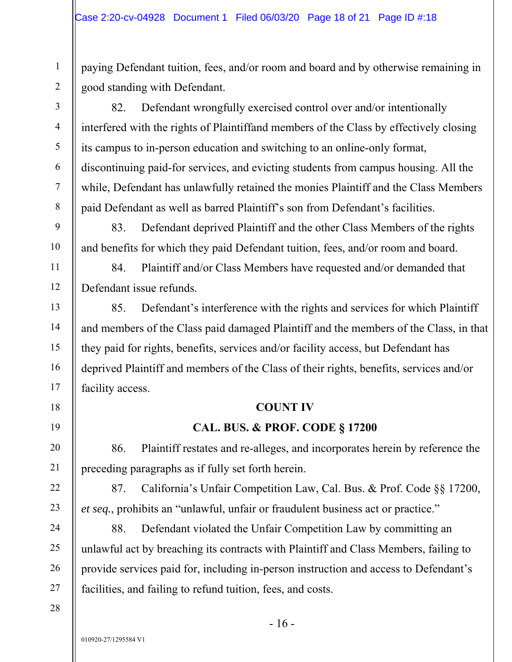paying Defendant tuition, fees, and/or room and board and by otherwise remaining in good standing with Defendant.

82. Defendant wrongfully exercised control over and/or intentionally interfered with the rights of Plaintiffand members of the Class by effectively closing its campus to in-person education and switching to an online-only format, discontinuing paid-for services, and evicting students from campus housing. All the while, Defendant has unlawfully retained the monies Plaintiff and the Class Members paid Defendant as well as barred Plaintiff's son from Defendant's facilities.

83. Defendant deprived Plaintiff and the other Class Members of the rights and benefits for which they paid Defendant tuition, fees, and/or room and board.

84. Plaintiff and/or Class Members have requested and/or demanded that Defendant issue refunds.

85. Defendant's interference with the rights and services for which Plaintiff and members of the Class paid damaged Plaintiff and the members of the Class, in that they paid for rights, benefits, services and/or facility access, but Defendant has deprived Plaintiff and members of the Class of their rights, benefits, services and/or facility access.

### **COUNT IV**

## **CAL. BUS. & PROF. CODE § 17200**

86. Plaintiff restates and re-alleges, and incorporates herein by reference the preceding paragraphs as if fully set forth herein.

87. California's Unfair Competition Law, Cal. Bus. & Prof. Code §§ 17200, *et seq.*, prohibits an "unlawful, unfair or fraudulent business act or practice."

88. Defendant violated the Unfair Competition Law by committing an unlawful act by breaching its contracts with Plaintiff and Class Members, failing to provide services paid for, including in-person instruction and access to Defendant's facilities, and failing to refund tuition, fees, and costs.

1

2

3

4

5

6

7

8

9

10

11

12

13

14

15

16

17

18

19

20

21

22

23

24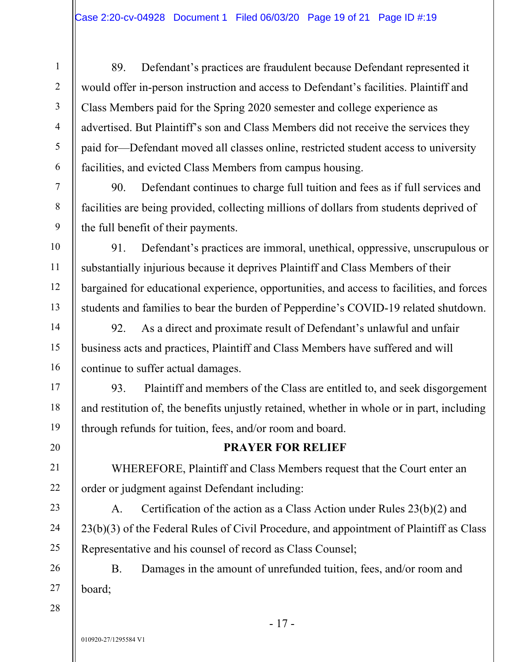89. Defendant's practices are fraudulent because Defendant represented it would offer in-person instruction and access to Defendant's facilities. Plaintiff and Class Members paid for the Spring 2020 semester and college experience as advertised. But Plaintiff's son and Class Members did not receive the services they paid for—Defendant moved all classes online, restricted student access to university facilities, and evicted Class Members from campus housing.

90. Defendant continues to charge full tuition and fees as if full services and facilities are being provided, collecting millions of dollars from students deprived of the full benefit of their payments.

91. Defendant's practices are immoral, unethical, oppressive, unscrupulous or substantially injurious because it deprives Plaintiff and Class Members of their bargained for educational experience, opportunities, and access to facilities, and forces students and families to bear the burden of Pepperdine's COVID-19 related shutdown.

92. As a direct and proximate result of Defendant's unlawful and unfair business acts and practices, Plaintiff and Class Members have suffered and will continue to suffer actual damages.

93. Plaintiff and members of the Class are entitled to, and seek disgorgement and restitution of, the benefits unjustly retained, whether in whole or in part, including through refunds for tuition, fees, and/or room and board.

## **PRAYER FOR RELIEF**

WHEREFORE, Plaintiff and Class Members request that the Court enter an order or judgment against Defendant including:

A. Certification of the action as a Class Action under Rules 23(b)(2) and 23(b)(3) of the Federal Rules of Civil Procedure, and appointment of Plaintiff as Class Representative and his counsel of record as Class Counsel;

B. Damages in the amount of unrefunded tuition, fees, and/or room and board;

1

2

3

4

5

6

7

8

9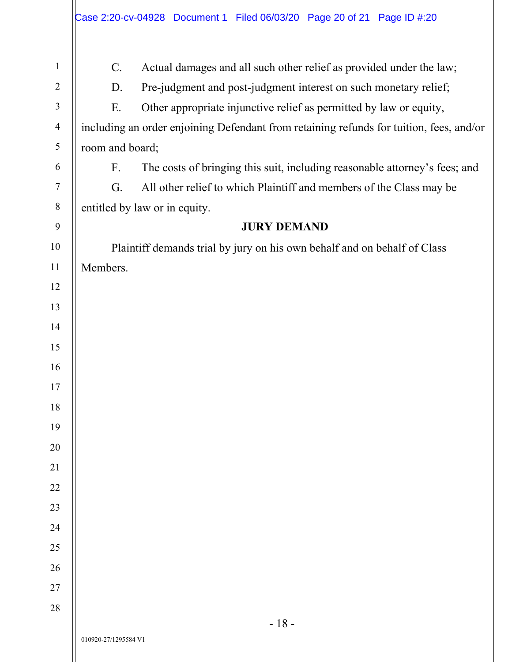| $\mathbf{1}$     | Actual damages and all such other relief as provided under the law;<br>C.               |  |  |
|------------------|-----------------------------------------------------------------------------------------|--|--|
| $\overline{2}$   | Pre-judgment and post-judgment interest on such monetary relief;<br>D.                  |  |  |
| $\mathfrak{Z}$   | E.<br>Other appropriate injunctive relief as permitted by law or equity,                |  |  |
| $\overline{4}$   | including an order enjoining Defendant from retaining refunds for tuition, fees, and/or |  |  |
| 5                | room and board;                                                                         |  |  |
| 6                | F.<br>The costs of bringing this suit, including reasonable attorney's fees; and        |  |  |
| $\boldsymbol{7}$ | G.<br>All other relief to which Plaintiff and members of the Class may be               |  |  |
| $\, 8$           | entitled by law or in equity.                                                           |  |  |
| 9                | <b>JURY DEMAND</b>                                                                      |  |  |
| $10\,$           | Plaintiff demands trial by jury on his own behalf and on behalf of Class                |  |  |
| 11               | Members.                                                                                |  |  |
| 12               |                                                                                         |  |  |
| 13               |                                                                                         |  |  |
| 14               |                                                                                         |  |  |
| 15               |                                                                                         |  |  |
| 16               |                                                                                         |  |  |
| 17               |                                                                                         |  |  |
| 18               |                                                                                         |  |  |
| 19               |                                                                                         |  |  |
| $20\,$           |                                                                                         |  |  |
| 21               |                                                                                         |  |  |
| $22\,$           |                                                                                         |  |  |
| 23               |                                                                                         |  |  |
| 24               |                                                                                         |  |  |
| 25               |                                                                                         |  |  |
| $26\,$           |                                                                                         |  |  |
| $27\,$           |                                                                                         |  |  |
| $28\,$           |                                                                                         |  |  |
|                  | $-18-$<br>010920-27/1295584 V1                                                          |  |  |
|                  |                                                                                         |  |  |